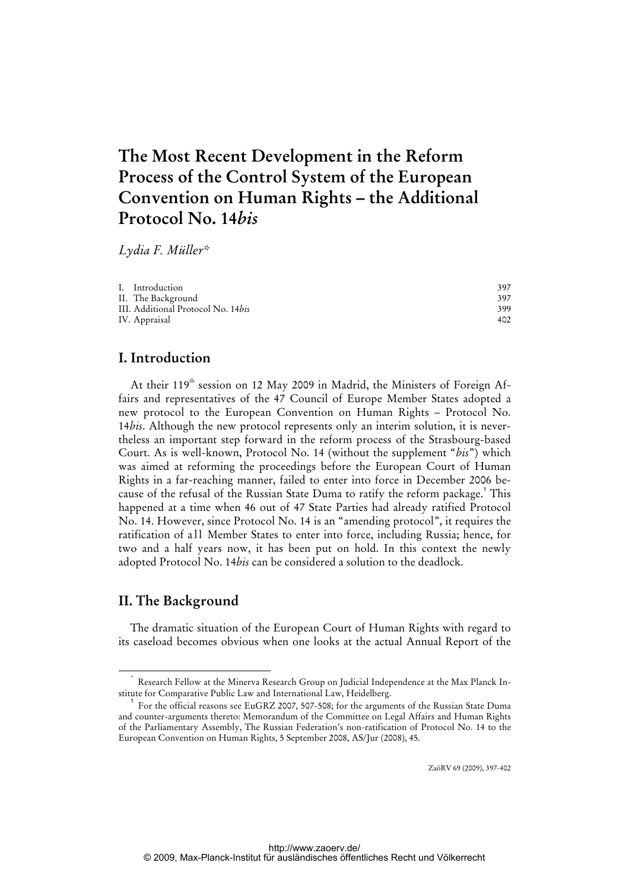# **The Most Recent Development in the Reform Process of the Control System of the European Convention on Human Rights – the Additional Protocol No. 14***bis*

*Lydia F. Müller\** 

| I. Introduction                            | 397 |
|--------------------------------------------|-----|
| II.  The Background                        | 397 |
| III. Additional Protocol No. 14 <i>bis</i> | 399 |
| IV. Appraisal                              | 402 |

## **I. Introduction**

At their 119<sup>th</sup> session on 12 May 2009 in Madrid, the Ministers of Foreign Affairs and representatives of the 47 Council of Europe Member States adopted a new protocol to the European Convention on Human Rights – Protocol No. 14*bis*. Although the new protocol represents only an interim solution, it is nevertheless an important step forward in the reform process of the Strasbourg-based Court. As is well-known, Protocol No. 14 (without the supplement "*bis*") which was aimed at reforming the proceedings before the European Court of Human Rights in a far-reaching manner, failed to enter into force in December 2006 because of the refusal of the Russian State Duma to ratify the reform package.<sup>1</sup> This happened at a time when 46 out of 47 State Parties had already ratified Protocol No. 14. However, since Protocol No. 14 is an "amending protocol", it requires the ratification of all Member States to enter into force, including Russia; hence, for two and a half years now, it has been put on hold. In this context the newly adopted Protocol No. 14*bis* can be considered a solution to the deadlock.

## **II. The Background**

The dramatic situation of the European Court of Human Rights with regard to its caseload becomes obvious when one looks at the actual Annual Report of the

ZaöRV 69 (2009), 397-402

 <sup>\*</sup> Research Fellow at the Minerva Research Group on Judicial Independence at the Max Planck Institute for Comparative Public Law and International Law, Heidelberg.

<sup>1</sup> For the official reasons see EuGRZ 2007, 507-508; for the arguments of the Russian State Duma and counter-arguments thereto: Memorandum of the Committee on Legal Affairs and Human Rights of the Parliamentary Assembly, The Russian Federation's non-ratification of Protocol No. 14 to the European Convention on Human Rights, 5 September 2008, AS/Jur (2008), 45.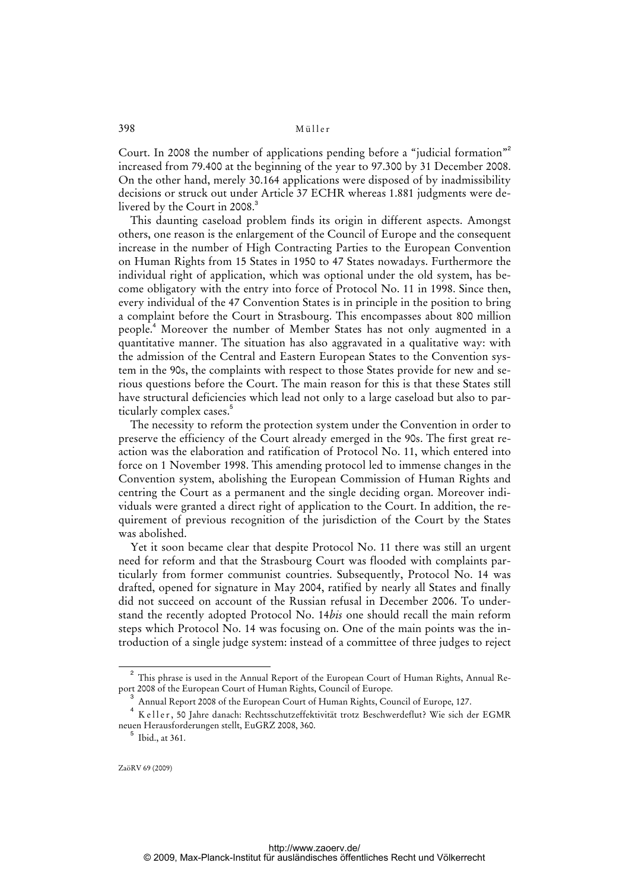#### 398 Müller

Court. In 2008 the number of applications pending before a "judicial formation"<sup>2</sup> increased from 79.400 at the beginning of the year to 97.300 by 31 December 2008. On the other hand, merely 30.164 applications were disposed of by inadmissibility decisions or struck out under Article 37 ECHR whereas 1.881 judgments were delivered by the Court in 2008.<sup>3</sup>

This daunting caseload problem finds its origin in different aspects. Amongst others, one reason is the enlargement of the Council of Europe and the consequent increase in the number of High Contracting Parties to the European Convention on Human Rights from 15 States in 1950 to 47 States nowadays. Furthermore the individual right of application, which was optional under the old system, has become obligatory with the entry into force of Protocol No. 11 in 1998. Since then, every individual of the 47 Convention States is in principle in the position to bring a complaint before the Court in Strasbourg. This encompasses about 800 million people.<sup>4</sup> Moreover the number of Member States has not only augmented in a quantitative manner. The situation has also aggravated in a qualitative way: with the admission of the Central and Eastern European States to the Convention system in the 90s, the complaints with respect to those States provide for new and serious questions before the Court. The main reason for this is that these States still have structural deficiencies which lead not only to a large caseload but also to particularly complex cases.<sup>5</sup>

The necessity to reform the protection system under the Convention in order to preserve the efficiency of the Court already emerged in the 90s. The first great reaction was the elaboration and ratification of Protocol No. 11, which entered into force on 1 November 1998. This amending protocol led to immense changes in the Convention system, abolishing the European Commission of Human Rights and centring the Court as a permanent and the single deciding organ. Moreover individuals were granted a direct right of application to the Court. In addition, the requirement of previous recognition of the jurisdiction of the Court by the States was abolished.

Yet it soon became clear that despite Protocol No. 11 there was still an urgent need for reform and that the Strasbourg Court was flooded with complaints particularly from former communist countries. Subsequently, Protocol No. 14 was drafted, opened for signature in May 2004, ratified by nearly all States and finally did not succeed on account of the Russian refusal in December 2006. To understand the recently adopted Protocol No. 14*bis* one should recall the main reform steps which Protocol No. 14 was focusing on. One of the main points was the introduction of a single judge system: instead of a committee of three judges to reject

<sup>2</sup> This phrase is used in the Annual Report of the European Court of Human Rights, Annual Report 2008 of the European Court of Human Rights, Council of Europe.

<sup>3</sup> Annual Report 2008 of the European Court of Human Rights, Council of Europe, 127.

<sup>4</sup> K eller, 50 Jahre danach: Rechtsschutzeffektivität trotz Beschwerdeflut? Wie sich der EGMR neuen Herausforderungen stellt, EuGRZ 2008, 360.

 $^5$  Ibid., at 361.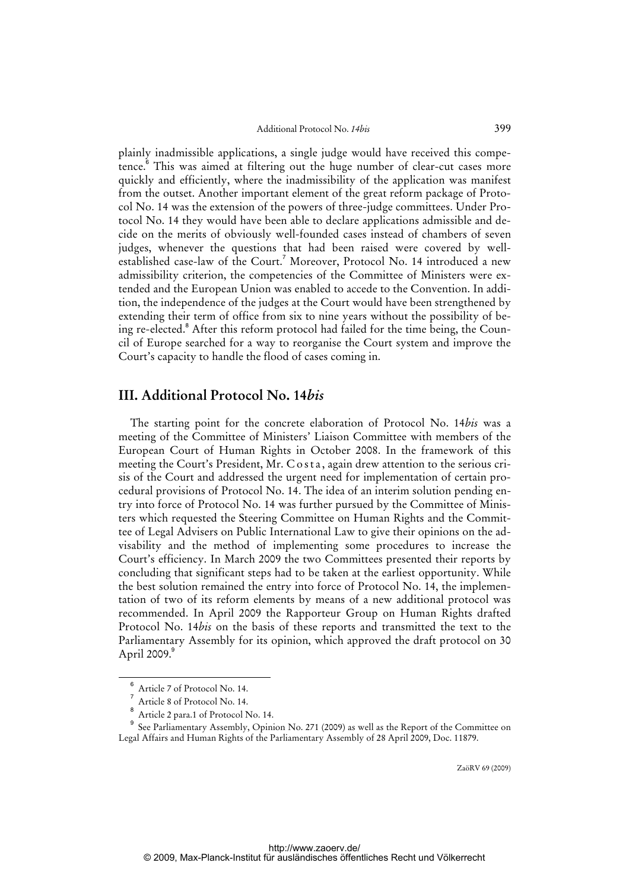plainly inadmissible applications, a single judge would have received this competence.<sup>6</sup> This was aimed at filtering out the huge number of clear-cut cases more quickly and efficiently, where the inadmissibility of the application was manifest from the outset. Another important element of the great reform package of Protocol No. 14 was the extension of the powers of three-judge committees. Under Protocol No. 14 they would have been able to declare applications admissible and decide on the merits of obviously well-founded cases instead of chambers of seven judges, whenever the questions that had been raised were covered by wellestablished case-law of the Court.<sup>7</sup> Moreover, Protocol No. 14 introduced a new admissibility criterion, the competencies of the Committee of Ministers were extended and the European Union was enabled to accede to the Convention. In addition, the independence of the judges at the Court would have been strengthened by extending their term of office from six to nine years without the possibility of being re-elected.<sup>8</sup> After this reform protocol had failed for the time being, the Council of Europe searched for a way to reorganise the Court system and improve the Court's capacity to handle the flood of cases coming in.

### **III. Additional Protocol No. 14***bis*

The starting point for the concrete elaboration of Protocol No. 14*bis* was a meeting of the Committee of Ministers' Liaison Committee with members of the European Court of Human Rights in October 2008. In the framework of this meeting the Court's President, Mr. Costa, again drew attention to the serious crisis of the Court and addressed the urgent need for implementation of certain procedural provisions of Protocol No. 14. The idea of an interim solution pending entry into force of Protocol No. 14 was further pursued by the Committee of Ministers which requested the Steering Committee on Human Rights and the Committee of Legal Advisers on Public International Law to give their opinions on the advisability and the method of implementing some procedures to increase the Court's efficiency. In March 2009 the two Committees presented their reports by concluding that significant steps had to be taken at the earliest opportunity. While the best solution remained the entry into force of Protocol No. 14, the implementation of two of its reform elements by means of a new additional protocol was recommended. In April 2009 the Rapporteur Group on Human Rights drafted Protocol No. 14*bis* on the basis of these reports and transmitted the text to the Parliamentary Assembly for its opinion, which approved the draft protocol on 30 April 2009.<sup>9</sup>

ZaöRV 69 (2009)

<sup>6</sup> Article 7 of Protocol No. 14.

<sup>7</sup> Article 8 of Protocol No. 14.

<sup>8</sup> Article 2 para.1 of Protocol No. 14.

<sup>9</sup> See Parliamentary Assembly, Opinion No. 271 (2009) as well as the Report of the Committee on Legal Affairs and Human Rights of the Parliamentary Assembly of 28 April 2009, Doc. 11879.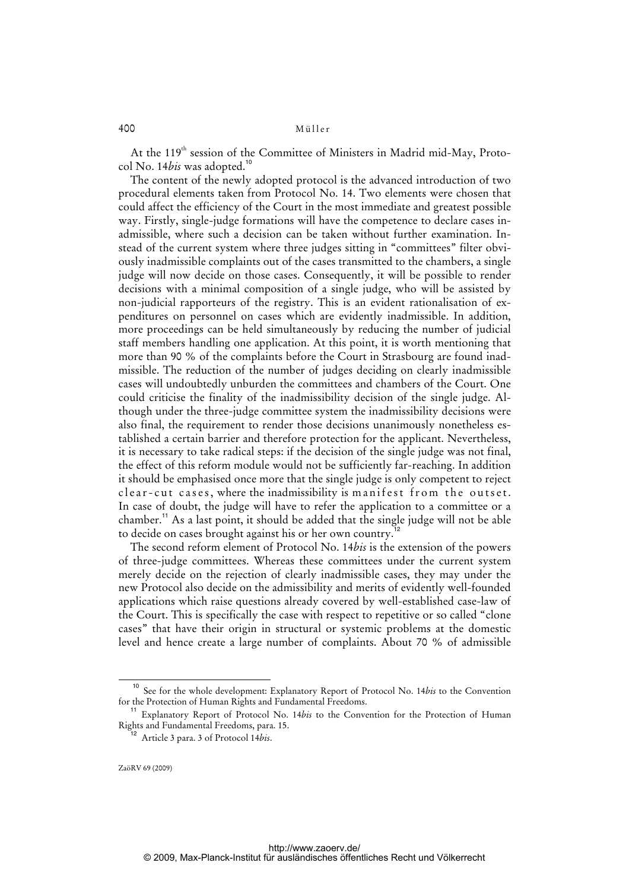#### 400 Müller

At the 119<sup>th</sup> session of the Committee of Ministers in Madrid mid-May, Protocol No. 14*bis* was adopted.<sup>10</sup>

The content of the newly adopted protocol is the advanced introduction of two procedural elements taken from Protocol No. 14. Two elements were chosen that could affect the efficiency of the Court in the most immediate and greatest possible way. Firstly, single-judge formations will have the competence to declare cases inadmissible, where such a decision can be taken without further examination. Instead of the current system where three judges sitting in "committees" filter obviously inadmissible complaints out of the cases transmitted to the chambers, a single judge will now decide on those cases. Consequently, it will be possible to render decisions with a minimal composition of a single judge, who will be assisted by non-judicial rapporteurs of the registry. This is an evident rationalisation of expenditures on personnel on cases which are evidently inadmissible. In addition, more proceedings can be held simultaneously by reducing the number of judicial staff members handling one application. At this point, it is worth mentioning that more than 90 % of the complaints before the Court in Strasbourg are found inadmissible. The reduction of the number of judges deciding on clearly inadmissible cases will undoubtedly unburden the committees and chambers of the Court. One could criticise the finality of the inadmissibility decision of the single judge. Although under the three-judge committee system the inadmissibility decisions were also final, the requirement to render those decisions unanimously nonetheless established a certain barrier and therefore protection for the applicant. Nevertheless, it is necessary to take radical steps: if the decision of the single judge was not final, the effect of this reform module would not be sufficiently far-reaching. In addition it should be emphasised once more that the single judge is only competent to reject c lear-cut cases, where the inadmissibility is manifest from the outset. In case of doubt, the judge will have to refer the application to a committee or a chamber.<sup>11</sup> As a last point, it should be added that the single judge will not be able to decide on cases brought against his or her own country.<sup>1</sup>

The second reform element of Protocol No. 14*bis* is the extension of the powers of three-judge committees. Whereas these committees under the current system merely decide on the rejection of clearly inadmissible cases, they may under the new Protocol also decide on the admissibility and merits of evidently well-founded applications which raise questions already covered by well-established case-law of the Court. This is specifically the case with respect to repetitive or so called "clone cases" that have their origin in structural or systemic problems at the domestic level and hence create a large number of complaints. About 70 % of admissible

See for the whole development: Explanatory Report of Protocol No. 14*bis* to the Convention for the Protection of Human Rights and Fundamental Freedoms.

<sup>&</sup>lt;sup>11</sup> Explanatory Report of Protocol No. 14*bis* to the Convention for the Protection of Human Rights and Fundamental Freedoms, para. 15.

<sup>12</sup> Article 3 para. 3 of Protocol 14*bis*.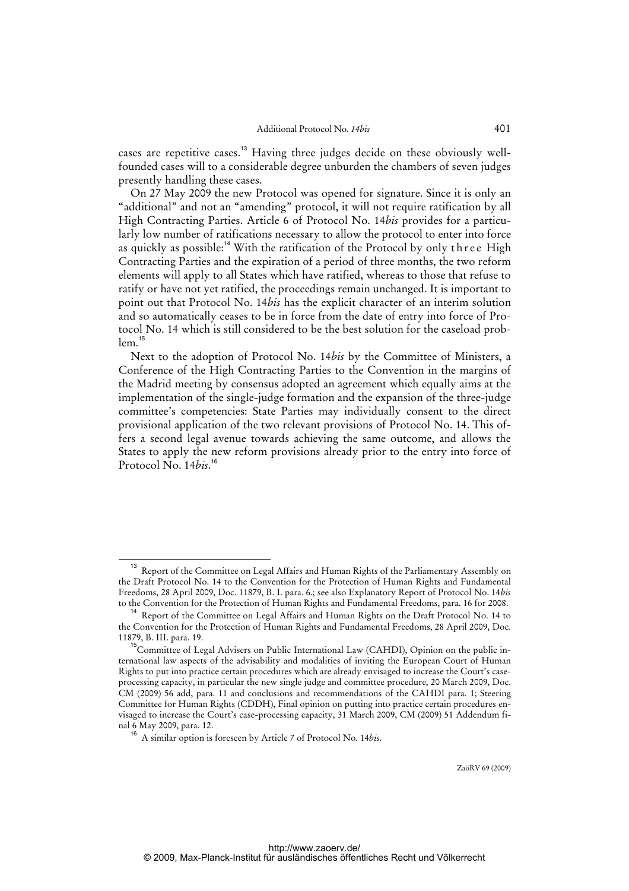cases are repetitive cases.<sup>13</sup> Having three judges decide on these obviously wellfounded cases will to a considerable degree unburden the chambers of seven judges presently handling these cases.

On 27 May 2009 the new Protocol was opened for signature. Since it is only an "additional" and not an "amending" protocol, it will not require ratification by all High Contracting Parties. Article 6 of Protocol No. 14*bis* provides for a particularly low number of ratifications necessary to allow the protocol to enter into force as quickly as possible:<sup>14</sup> With the ratification of the Protocol by only three High Contracting Parties and the expiration of a period of three months, the two reform elements will apply to all States which have ratified, whereas to those that refuse to ratify or have not yet ratified, the proceedings remain unchanged. It is important to point out that Protocol No. 14*bis* has the explicit character of an interim solution and so automatically ceases to be in force from the date of entry into force of Protocol No. 14 which is still considered to be the best solution for the caseload prob $lem.<sup>15</sup>$ 

Next to the adoption of Protocol No. 14*bis* by the Committee of Ministers, a Conference of the High Contracting Parties to the Convention in the margins of the Madrid meeting by consensus adopted an agreement which equally aims at the implementation of the single-judge formation and the expansion of the three-judge committee's competencies: State Parties may individually consent to the direct provisional application of the two relevant provisions of Protocol No. 14. This offers a second legal avenue towards achieving the same outcome, and allows the States to apply the new reform provisions already prior to the entry into force of Protocol No. 14*bis*. 16

ZaöRV 69 (2009)

<sup>&</sup>lt;sup>13</sup> Report of the Committee on Legal Affairs and Human Rights of the Parliamentary Assembly on the Draft Protocol No. 14 to the Convention for the Protection of Human Rights and Fundamental Freedoms, 28 April 2009, Doc. 11879, B. I. para. 6.; see also Explanatory Report of Protocol No. 14*bis* to the Convention for the Protection of Human Rights and Fundamental Freedoms, para. 16 for 2008.

<sup>&</sup>lt;sup>14</sup> Report of the Committee on Legal Affairs and Human Rights on the Draft Protocol No. 14 to the Convention for the Protection of Human Rights and Fundamental Freedoms, 28 April 2009, Doc. 11879, B. III. para. 19.

<sup>&</sup>lt;sup>15</sup>Committee of Legal Advisers on Public International Law (CAHDI), Opinion on the public international law aspects of the advisability and modalities of inviting the European Court of Human Rights to put into practice certain procedures which are already envisaged to increase the Court's caseprocessing capacity, in particular the new single judge and committee procedure, 20 March 2009, Doc. CM (2009) 56 add, para. 11 and conclusions and recommendations of the CAHDI para. 1; Steering Committee for Human Rights (CDDH), Final opinion on putting into practice certain procedures envisaged to increase the Court's case-processing capacity, 31 March 2009, CM (2009) 51 Addendum final 6 May 2009, para. 12.

<sup>16</sup> A similar option is foreseen by Article 7 of Protocol No. 14*bis*.